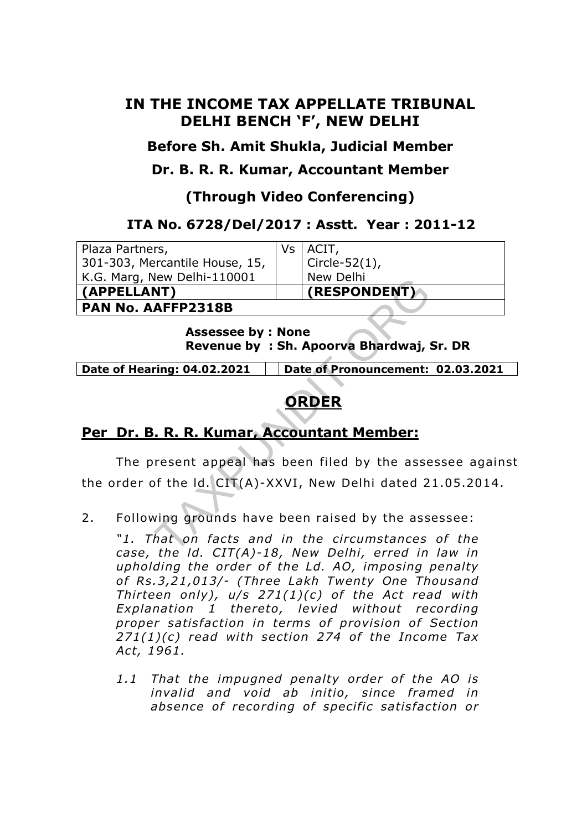## **IN THE INCOME TAX APPELLATE TRIBUNAL DELHI BENCH 'F', NEW DELHI**

**Before Sh. Amit Shukla, Judicial Member** 

**Dr. B. R. R. Kumar, Accountant Member** 

**(Through Video Conferencing)** 

#### **ITA No. 6728/Del/2017 : Asstt. Year : 2011-12**

| Plaza Partners,                                                       | Vs                                | ACIT,                                                                                                        |  |
|-----------------------------------------------------------------------|-----------------------------------|--------------------------------------------------------------------------------------------------------------|--|
| 301-303, Mercantile House, 15,                                        |                                   | Circle-52(1),                                                                                                |  |
| K.G. Marg, New Delhi-110001                                           |                                   | New Delhi                                                                                                    |  |
| (APPELLANT)                                                           |                                   | (RESPONDENT)                                                                                                 |  |
| <b>PAN No. AAFFP2318B</b>                                             |                                   |                                                                                                              |  |
| <b>Assessee by : None</b><br>Revenue by: Sh. Apoorva Bhardwaj, Sr. DR |                                   |                                                                                                              |  |
| Date of Hearing: 04.02.2021                                           | Date of Pronouncement: 02.03.2021 |                                                                                                              |  |
|                                                                       |                                   |                                                                                                              |  |
| ORDER                                                                 |                                   |                                                                                                              |  |
|                                                                       |                                   |                                                                                                              |  |
| Per Dr. B. R. R. Kumar, Accountant Member:                            |                                   |                                                                                                              |  |
|                                                                       |                                   |                                                                                                              |  |
|                                                                       |                                   | The present appeal has been filed by the assessee again:                                                     |  |
|                                                                       |                                   | the order of the Id. CIT(A)-XXVI, New Delhi dated 21.05.2014.                                                |  |
| 2.                                                                    |                                   | Following grounds have been raised by the assessee:                                                          |  |
|                                                                       |                                   | "1. That on facts and in the circumstances of the<br>$case$ the $Id$ $CIT(A) - 18$ New Delhi erred in law in |  |

# **ORDER**

## **Per Dr. B. R. R. Kumar, Accountant Member:**

*"1. That on facts and in the circumstances of the*  case, the Id. CIT(A)-18, New Delhi, erred in law in *upholding the order of the Ld. AO, imposing penalty of Rs .3,21 ,013/- (Three Lakh Twenty One Thousand Thirteen only), u/s 271(1)(c) of the Act read with Explanation 1 thereto , levied without recording*  proper satisfaction in terms of provision of Section *271(1)(c) read with section 274 of the Income Tax Act, 1961.* 

1.1 That the impugned penalty order of the AO is *invalid and void ab initio, since framed in absence of recording of specific satisfaction or*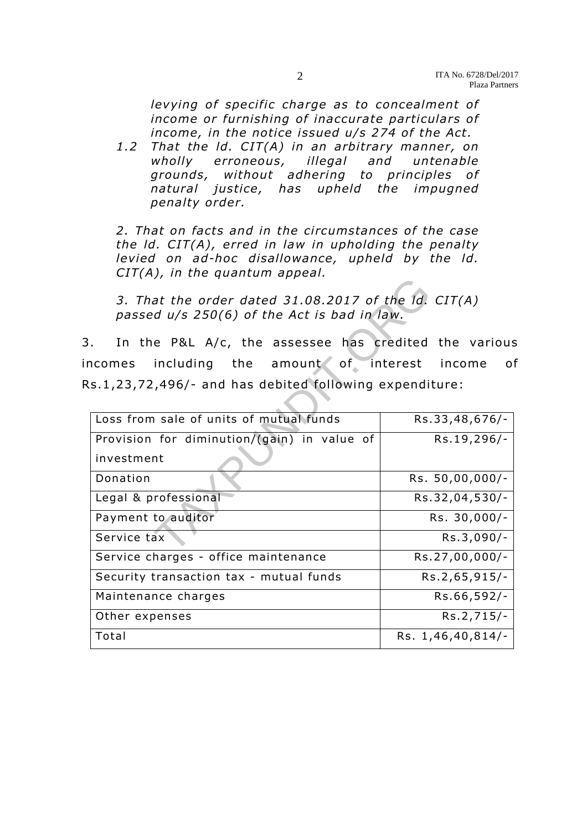*levying of specific charge as to concealment of income or furnishing of inaccurate particulars of income, in the notice issued u/s 274 of the Act.* 

*1.2 That the ld. CIT(A) in an arbitrary manner, on wholly erroneous, illegal and untenable*  grounds, without adhering to principles of natural justice, has upheld the impugned *penalty order.* 

2. That on facts and in the circumstances of the case *the Id. CIT(A), erred in law in upholding the penalty* levied on ad-hoc disallowance, upheld by the Id. *CIT(A), in the quantum appeal.* 

| 3. That the order dated $31.08.2017$ of the Id. CIT(A)<br>passed u/s 250(6) of the Act is bad in law. |                   |  |  |  |
|-------------------------------------------------------------------------------------------------------|-------------------|--|--|--|
| In the P&L A/c, the assessee has credited the various                                                 |                   |  |  |  |
| ncomes including the amount of interest income                                                        | $\mathsf O$       |  |  |  |
| s.1,23,72,496/- and has debited following expenditure:                                                |                   |  |  |  |
|                                                                                                       |                   |  |  |  |
| Loss from sale of units of mutual funds                                                               | Rs.33,48,676/-    |  |  |  |
| Provision for diminution/(gain) in value of                                                           | Rs.19,296/-       |  |  |  |
| investment                                                                                            |                   |  |  |  |
| Donation                                                                                              | Rs. 50,00,000/-   |  |  |  |
| Legal & professional                                                                                  | Rs.32,04,530/-    |  |  |  |
| Payment to auditor                                                                                    | Rs. 30,000/-      |  |  |  |
| Service tax                                                                                           | Rs.3,090/-        |  |  |  |
| Service charges - office maintenance                                                                  | Rs.27,00,000/-    |  |  |  |
| Security transaction tax - mutual funds                                                               | Rs.2,65,915/-     |  |  |  |
| Maintenance charges                                                                                   | Rs.66,592/-       |  |  |  |
| Other expenses                                                                                        | Rs.2,715/-        |  |  |  |
| Total                                                                                                 | Rs. 1,46,40,814/- |  |  |  |
|                                                                                                       |                   |  |  |  |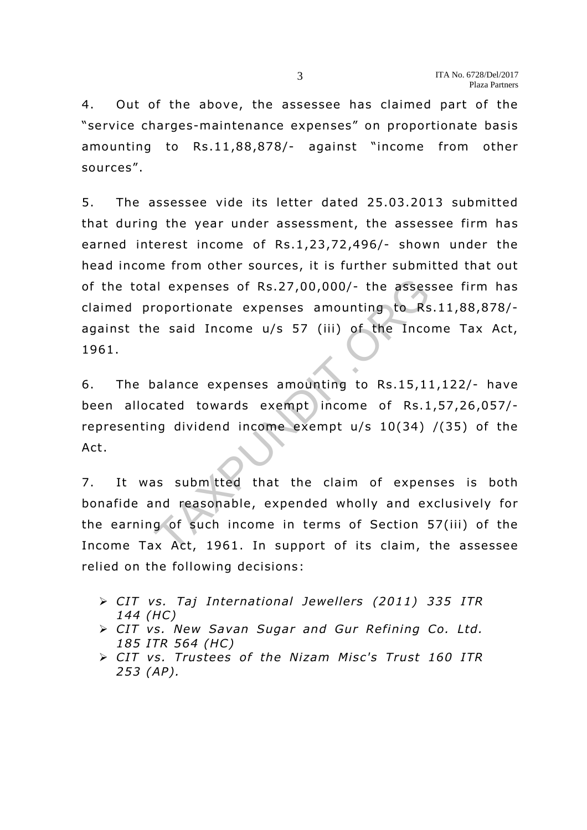4. Out of the above, the assessee has claimed part of the "service charges-maintenance expenses" on proportionate basis amounting to Rs.11,88,878/- against "income from other sources" .

5. The assessee vide its letter dated 25.03 .2013 submitted that during the year under assessment, the assessee firm has earned interest income of Rs.1,23,72,496/- shown under the head income from other sources, it is further submitted that out of the total expenses of Rs.27,00,000/- the assessee firm has claimed proportionate expenses amounting to Rs.11 ,88,878/ against the said Income  $u/s$  57 (iii) of the Income Tax Act, 1961. al expenses of Rs.27,00,000/- the asses<br>roportionate expenses amounting to Rs<br>e said Income u/s 57 (iii) of the Inco<br>balance expenses amounting to Rs.15,11<br>cated towards exempt income of Rs.1<br>ng dividend income exempt u/s

6. The balance expenses amounting to Rs.15,11 ,122/- have been allocated towards exempt income of Rs.1,57,26,057/representing dividend income exempt u/s 10(34) /(35) of the Act.

7. It was submitted that the claim of expenses is both bona fide and reasonable, expended wholly and exclusively for the earning of such income in terms of Section 57(iii) of the Income Tax Act, 1961. In support of its claim, the assessee relied on the following decisions:

- ▶ CIT vs. Taj International Jewellers (2011) 335 ITR *144 (HC)*
- *CIT vs . New Savan Sugar and Gur Refining Co. Ltd. 185 ITR 564 (HC)*
- *CIT vs. Trustees of the Nizam Misc's Trust 160 ITR 253 (AP).*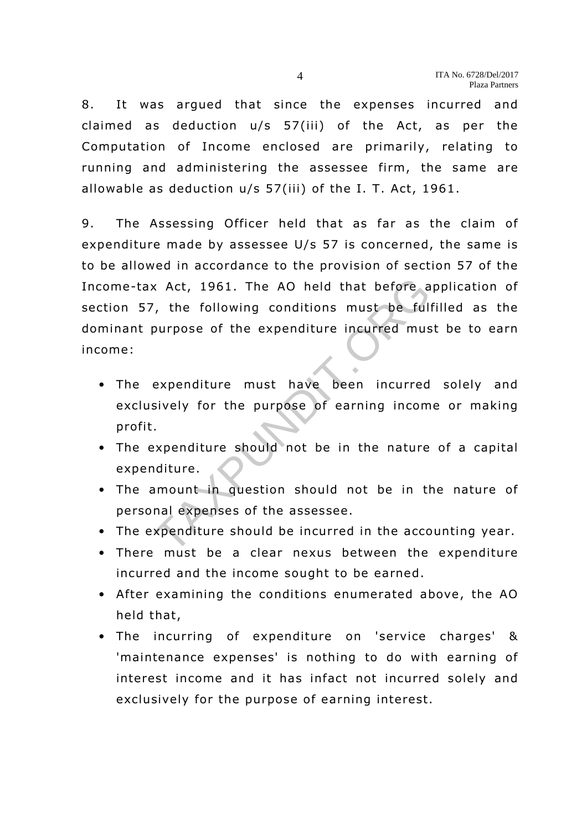8. It was argued that since the expenses incurred and claimed as deduction u/s 57(iii) of the Act, as per the Computation of Income enclosed are primarily, relating to running and administering the assessee firm, the same are allowable as deduction  $u/s$  57(iii) of the I. T. Act, 1961.

9. The Assessing Officer held that as far as the claim of expenditure made by assessee U/s 57 is concerned, the same is to be allowed in accordance to the provision of section 57 of the Income-tax Act, 1961. The AO held that before application of section 57, the following conditions must be fulfilled as the dominant purpose of the expenditure incurred must be to earn income: x Act, 1961. The AO held that before a<br>
i, the following conditions must be fully<br>
purpose of the expenditure incurred mus<br>
expenditure must have been incurred<br>
sively for the purpose of earning incom<br>
.<br>
.<br>
xpenditure sho

- The expenditure must have been incurred solely and exclusively for the purpose of earning income or making profit.
- The expenditure should not be in the nature of a capital expenditure .
- The amount in question should not be in the nature of personal expenses of the assessee.
- The expenditure should be incurred in the accounting year.
- There must be a clear nexus between the expenditure incurred and the income sought to be earned.
- After examining the conditions enumerated above, the AO held that,
- The incurring of expenditure on 'service charges' & 'maintenance expenses' is nothing to do with earning of interest income and it has infact not incurred solely and exclusively for the purpose of earning interest.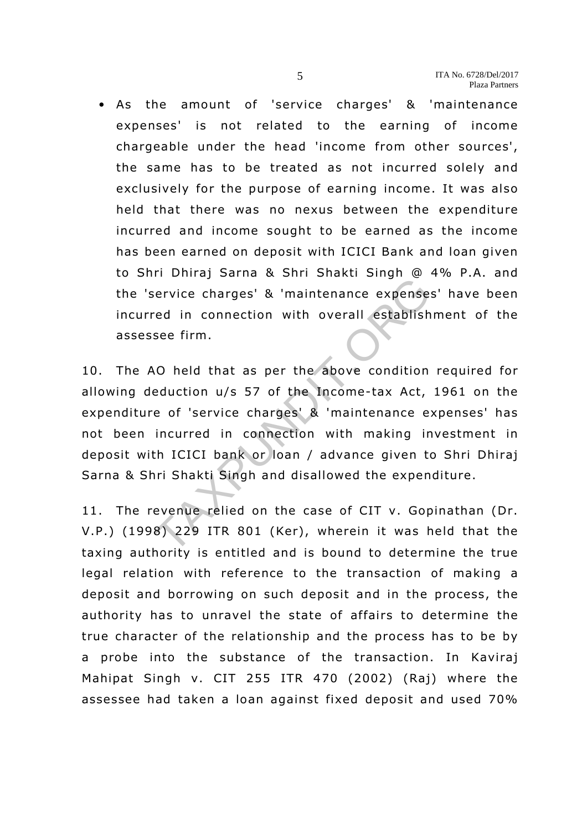• As the amount of 'service charges' & 'maintenance expenses' is not related to the earning of income chargeable under the head 'income from other sources', the same has to be treated as not incurred solely and exclusively for the purpose of earning income. It was also held that there was no nexus between the expenditure incurred and income sought to be earned as the income has been earned on deposit with ICICI Bank and loan given to Shri Dhiraj Sarna & Shri Shakti Singh @ 4% P.A. and the 'service charges' & 'maintenance expenses' have been incurred in connection with overall establishment of the assessee firm.

10. The AO held that as per the above condition required for allowing deduction u/s 57 of the Income-tax Act, 1961 on the expenditure of 'service charges' & 'maintenance expenses' has not been incurred in connection with making investment in deposit with ICICI bank or loan / advance given to Shri Dhiraj Sarna & Shri Shakti Singh and disallowed the expenditure . In Simal & Similar Simal Community of Similar Community Cherry<br>Theorem is a connection with overall establish<br>see firm.<br>NO held that as per the above condition<br>eduction u/s 57 of the Income-tax Act,<br>e of 'service charges'

11. The revenue relied on the case of CIT v. Gopinathan (Dr. V.P.) (1998) 229 ITR 801 (Ker), wherein it was held that the taxing authority is entitled and is bound to determine the true legal relation with reference to the transaction of making a deposit and borrowing on such deposit and in the process, the authority has to unravel the state of affairs to determine the true character of the relationship and the process has to be by a probe into the substance of the transaction. In Kaviraj Mahipat Singh v. CIT 255 ITR 470 (2002) (Raj) where the assessee had taken a loan against fixed deposit and used 70%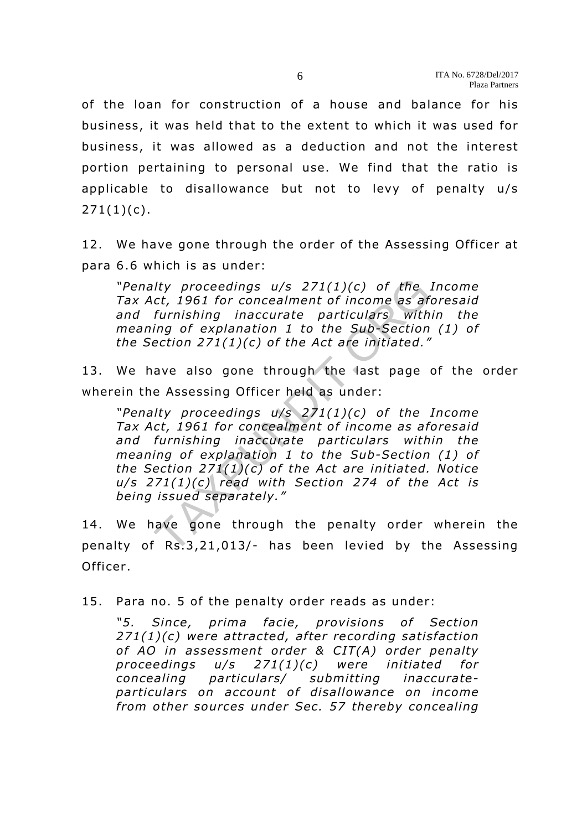of the loan for construction of a house and balance for his business, it was held that to the extent to which it was used for business, it was allowed as a deduction and not the interest portion pertaining to personal use. We find that the ratio is applicable to disallowance but not to levy of penalty u/s  $271(1)(c)$ .

12. We have gone through the order of the Assessing Officer at para 6 .6 which is as under:

*"Penalty proceedings u/s 271(1)(c) of the Income* Tax Act, 1961 for concealment of income as aforesaid *and furnishing inaccurate particulars within the meaning of explanation 1 to the Sub-Section (1) of the Section 271(1)(c) o f the Act are initiated."* 

13. We have also gone through the last page of the order wherein the Assessing Officer held as under:

*"Penalty proceedings u/s 271(1)(c) of the Income* Tax Act, 1961 for concealment of income as aforesaid *and furnishing inaccurate particulars within the meaning of explanation 1 to the Sub-Section (1) of the Section 271(1)(c) of the Act are initiated. Notice u/s 271(1)(c) read with Section 274 of the Act is being issued separately."*  Ity proceedings  $u/s$  271(1)(c) of the .<br>
ct, 1961 for concealment of income as aft<br>
furnishing inaccurate particulars with<br>
ing of explanation 1 to the Sub-Section<br>
ection 271(1)(c) of the Act are initiated."<br>
ave also go

14. We have gone through the penalty order wherein the penalty of Rs.3 ,21,013/- has been levied by the Assessing Officer.

15. Para no. 5 of the penalty order reads as under:

"5. Since, prima facie, provisions of Section *271(1)(c) were attracted, after recording satisfaction of AO in assessment order & CIT(A) order penalty proceedings u/s 271(1)(c) were initiated for concealing particulars/ submitting inaccurate*particulars on account of disallowance on income *from other sources under Sec. 57 thereby concealing*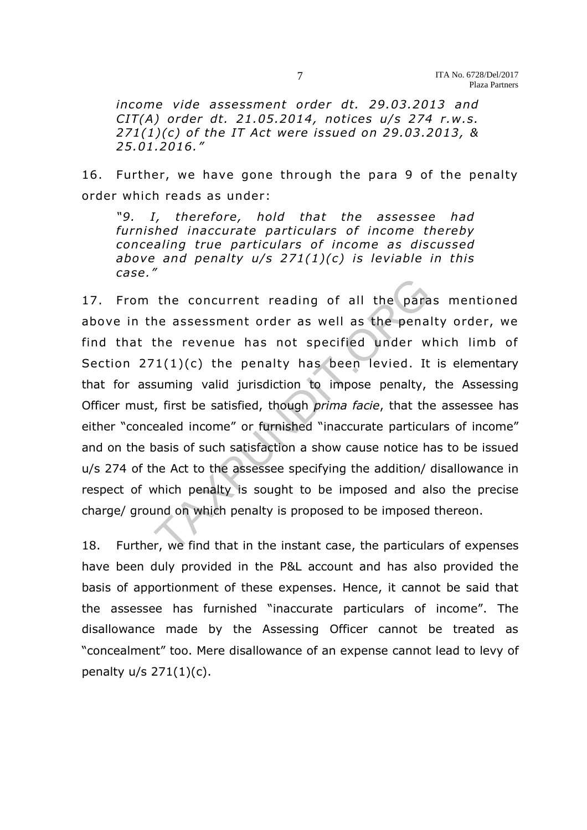*income vide assessment order dt. 29 .03.2013 and CIT(A) order dt. 21.05.2014 , notices u/s 274 r.w .s. 271(1)(c) o f the IT Act were issued on 29 .03 .2013, & 25.01.2016."* 

16. Further, we have gone through the para 9 of the penalty order which reads as under:

*"9. I, therefore, hold that the assessee had furnished inaccurate particulars of income thereby concealing true particulars of income as discussed above and penalty u/s 271(1)(c) is leviable in this case ."* 

17. From the concurrent reading of all the paras mentioned above in the assessment order as well as the penalty order, we find that the revenue has not specified under which limb of Section  $271(1)(c)$  the penalty has been levied. It is elementary that for assuming valid jurisdiction to impose penalty, the Assessing Officer must, first be satisfied, though *prima facie*, that the assessee has either "concealed income" or furnished "inaccurate particulars of income" and on the basis of such satisfaction a show cause notice has to be issued u/s 274 of the Act to the assessee specifying the addition/ disallowance in respect of which penalty is sought to be imposed and also the precise charge/ ground on which penalty is proposed to be imposed thereon. the concurrent reading of all the para<br>he assessment order as well as the penal<br>the revenue has not specified under w<br> $T(1)(c)$  the penalty has been levied. It<br>suming valid jurisdiction to impose penalty,<br>i, first be satis

18. Further, we find that in the instant case, the particulars of expenses have been duly provided in the P&L account and has also provided the basis of apportionment of these expenses. Hence, it cannot be said that the assessee has furnished "inaccurate particulars of income". The disallowance made by the Assessing Officer cannot be treated as "concealment" too. Mere disallowance of an expense cannot lead to levy of penalty  $u/s$  271 $(1)(c)$ .